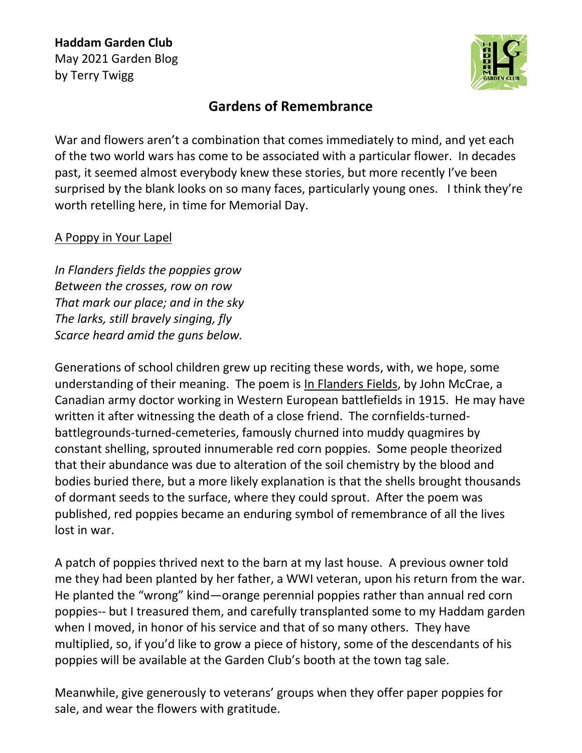

## **Gardens of Remembrance**

War and flowers aren't a combination that comes immediately to mind, and yet each of the two world wars has come to be associated with a particular flower. In decades past, it seemed almost everybody knew these stories, but more recently I've been surprised by the blank looks on so many faces, particularly young ones. I think they're worth retelling here, in time for Memorial Day.

## A Poppy in Your Lapel

*In Flanders fields the poppies grow Between the crosses, row on row That mark our place; and in the sky The larks, still bravely singing, fly Scarce heard amid the guns below.*

Generations of school children grew up reciting these words, with, we hope, some understanding of their meaning. The poem is In Flanders Fields, by John McCrae, a Canadian army doctor working in Western European battlefields in 1915. He may have written it after witnessing the death of a close friend. The cornfields-turnedbattlegrounds-turned-cemeteries, famously churned into muddy quagmires by constant shelling, sprouted innumerable red corn poppies. Some people theorized that their abundance was due to alteration of the soil chemistry by the blood and bodies buried there, but a more likely explanation is that the shells brought thousands of dormant seeds to the surface, where they could sprout. After the poem was published, red poppies became an enduring symbol of remembrance of all the lives lost in war.

A patch of poppies thrived next to the barn at my last house. A previous owner told me they had been planted by her father, a WWI veteran, upon his return from the war. He planted the "wrong" kind—orange perennial poppies rather than annual red corn poppies-- but I treasured them, and carefully transplanted some to my Haddam garden when I moved, in honor of his service and that of so many others. They have multiplied, so, if you'd like to grow a piece of history, some of the descendants of his poppies will be available at the Garden Club's booth at the town tag sale.

Meanwhile, give generously to veterans' groups when they offer paper poppies for sale, and wear the flowers with gratitude.